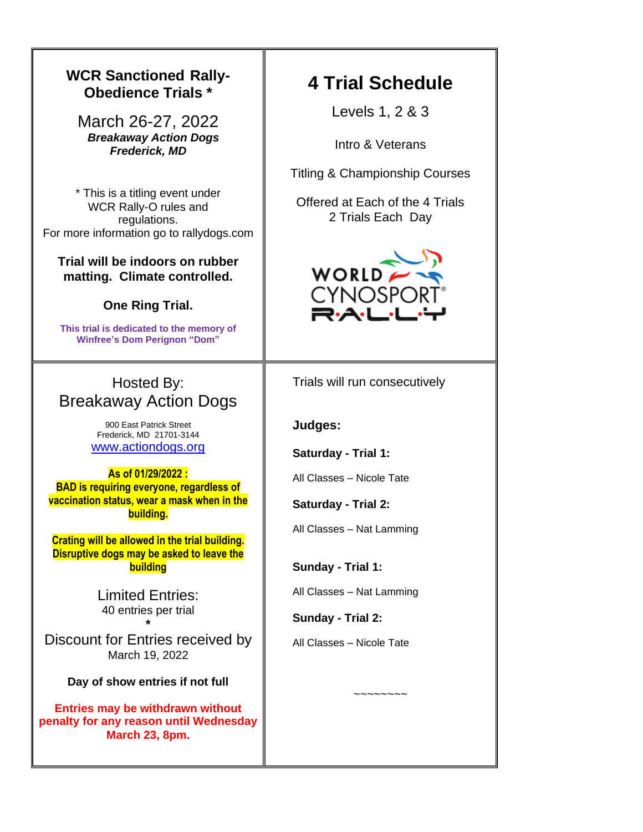### **WCR Sanctioned Rally-4 Trial Schedule Obedience Trials \*** Levels 1, 2 & 3 March 26-27, 2022 *Breakaway Action Dogs* Intro & Veterans *Frederick, MD* Titling & Championship Courses \* This is a titling event under Offered at Each of the 4 Trials WCR Rally-O rules and 2 Trials Each Day regulations. For more information go to rallydogs.com **Trial will be indoors on rubber**  WORLD **matting. Climate controlled. CYNOSP One Ring Trial. This trial is dedicated to the memory of Winfree's Dom Perignon "Dom"** Hosted By: Trials will run consecutively Breakaway Action Dogs 900 East Patrick Street **Judges:** Frederick, MD 21701-3144 [www.actiondogs.org](http://www.actiondogs.org/) **Saturday - Trial 1: As of 01/29/2022 :**  All Classes – Nicole Tate **BAD is requiring everyone, regardless of vaccination status, wear a mask when in the Saturday - Trial 2: building.**  All Classes – Nat Lamming **Crating will be allowed in the trial building. Disruptive dogs may be asked to leave the building Sunday - Trial 1:** All Classes – Nat Lamming Limited Entries: 40 entries per trial **Sunday - Trial 2: \*** Discount for Entries received by All Classes – Nicole Tate March 19, 2022 **Day of show entries if not full** ~~~~~~~~**Entries may be withdrawn without penalty for any reason until Wednesday March 23, 8pm.**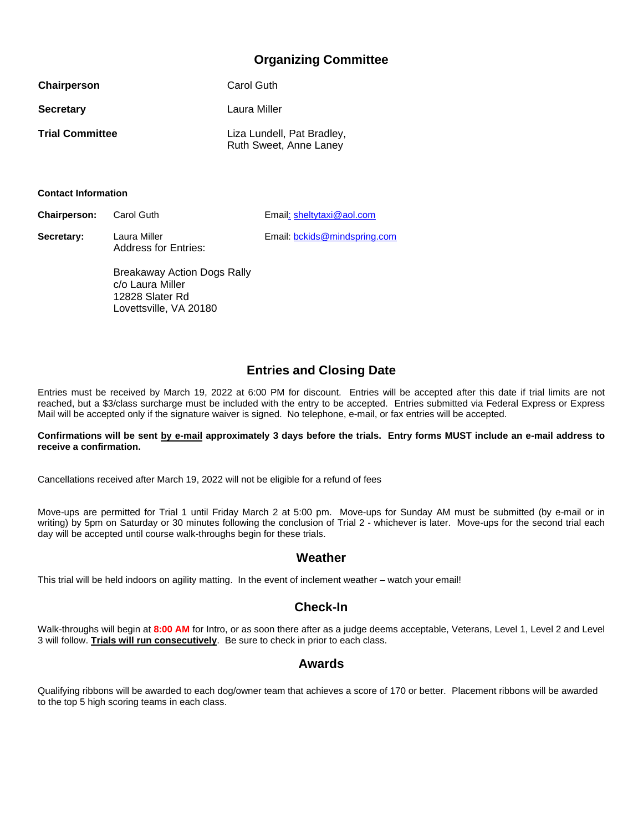## **Organizing Committee**

| Chairperson            | Carol Guth                                           |
|------------------------|------------------------------------------------------|
| <b>Secretary</b>       | Laura Miller                                         |
| <b>Trial Committee</b> | Liza Lundell, Pat Bradley,<br>Ruth Sweet, Anne Laney |

**Contact Information**

**Chairperson:** Carol Guth Email: sheltytaxi@aol.com

Secretary: Laura Miller **Email:** bookids@mindspring.com Address for Entries:

> Breakaway Action Dogs Rally c/o Laura Miller 12828 Slater Rd Lovettsville, VA 20180

## **Entries and Closing Date**

Entries must be received by March 19, 2022 at 6:00 PM for discount. Entries will be accepted after this date if trial limits are not reached, but a \$3/class surcharge must be included with the entry to be accepted. Entries submitted via Federal Express or Express Mail will be accepted only if the signature waiver is signed. No telephone, e-mail, or fax entries will be accepted.

#### **Confirmations will be sent by e-mail approximately 3 days before the trials. Entry forms MUST include an e-mail address to receive a confirmation.**

Cancellations received after March 19, 2022 will not be eligible for a refund of fees

Move-ups are permitted for Trial 1 until Friday March 2 at 5:00 pm. Move-ups for Sunday AM must be submitted (by e-mail or in writing) by 5pm on Saturday or 30 minutes following the conclusion of Trial 2 - whichever is later. Move-ups for the second trial each day will be accepted until course walk-throughs begin for these trials.

#### **Weather**

This trial will be held indoors on agility matting. In the event of inclement weather – watch your email!

### **Check-In**

Walk-throughs will begin at **8:00 AM** for Intro, or as soon there after as a judge deems acceptable, Veterans, Level 1, Level 2 and Level 3 will follow. **Trials will run consecutively**. Be sure to check in prior to each class.

### **Awards**

Qualifying ribbons will be awarded to each dog/owner team that achieves a score of 170 or better. Placement ribbons will be awarded to the top 5 high scoring teams in each class.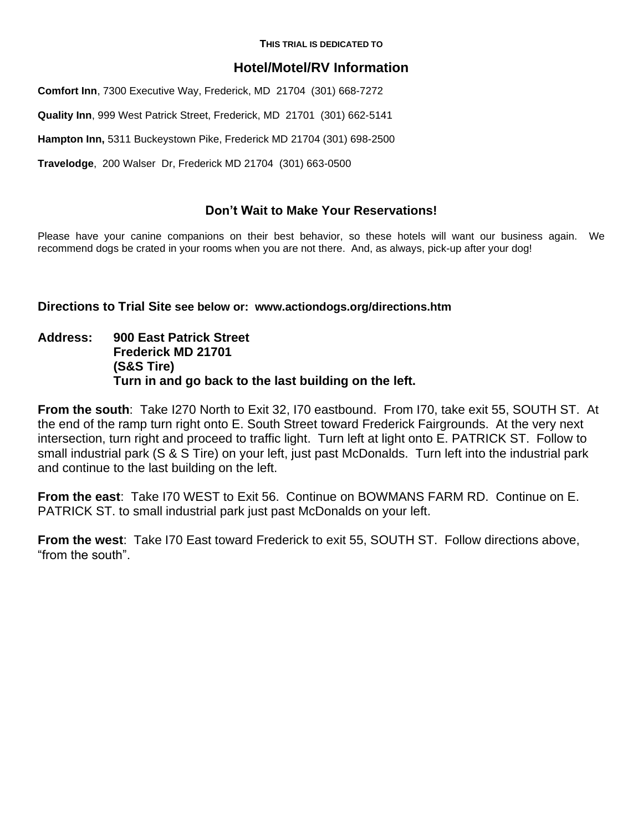**THIS TRIAL IS DEDICATED TO**

## **Hotel/Motel/RV Information**

**Comfort Inn**, 7300 Executive Way, Frederick, MD 21704 (301) 668-7272

**Quality Inn**, 999 West Patrick Street, Frederick, MD 21701 (301) 662-5141

**Hampton Inn,** 5311 Buckeystown Pike, Frederick MD 21704 (301) 698-2500

**Travelodge**, 200 Walser Dr, Frederick MD 21704 (301) 663-0500

## **Don't Wait to Make Your Reservations!**

Please have your canine companions on their best behavior, so these hotels will want our business again. We recommend dogs be crated in your rooms when you are not there. And, as always, pick-up after your dog!

**Directions to Trial Site see below or: www.actiondogs.org/directions.htm**

**Address: 900 East Patrick Street Frederick MD 21701 (S&S Tire) Turn in and go back to the last building on the left.**

**From the south**: Take I270 North to Exit 32, I70 eastbound. From I70, take exit 55, SOUTH ST. At the end of the ramp turn right onto E. South Street toward Frederick Fairgrounds. At the very next intersection, turn right and proceed to traffic light. Turn left at light onto E. PATRICK ST. Follow to small industrial park (S & S Tire) on your left, just past McDonalds. Turn left into the industrial park and continue to the last building on the left.

**From the east**: Take I70 WEST to Exit 56. Continue on BOWMANS FARM RD. Continue on E. PATRICK ST. to small industrial park just past McDonalds on your left.

**From the west**: Take I70 East toward Frederick to exit 55, SOUTH ST. Follow directions above, "from the south".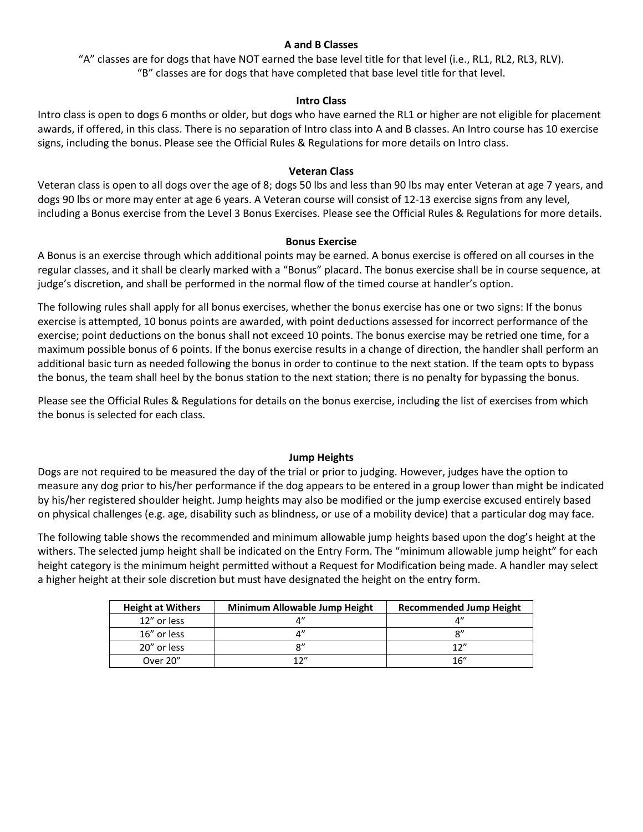#### **A and B Classes**

"A" classes are for dogs that have NOT earned the base level title for that level (i.e., RL1, RL2, RL3, RLV). "B" classes are for dogs that have completed that base level title for that level.

#### **Intro Class**

Intro class is open to dogs 6 months or older, but dogs who have earned the RL1 or higher are not eligible for placement awards, if offered, in this class. There is no separation of Intro class into A and B classes. An Intro course has 10 exercise signs, including the bonus. Please see the Official Rules & Regulations for more details on Intro class.

#### **Veteran Class**

Veteran class is open to all dogs over the age of 8; dogs 50 lbs and less than 90 lbs may enter Veteran at age 7 years, and dogs 90 lbs or more may enter at age 6 years. A Veteran course will consist of 12-13 exercise signs from any level, including a Bonus exercise from the Level 3 Bonus Exercises. Please see the Official Rules & Regulations for more details.

#### **Bonus Exercise**

A Bonus is an exercise through which additional points may be earned. A bonus exercise is offered on all courses in the regular classes, and it shall be clearly marked with a "Bonus" placard. The bonus exercise shall be in course sequence, at judge's discretion, and shall be performed in the normal flow of the timed course at handler's option.

The following rules shall apply for all bonus exercises, whether the bonus exercise has one or two signs: If the bonus exercise is attempted, 10 bonus points are awarded, with point deductions assessed for incorrect performance of the exercise; point deductions on the bonus shall not exceed 10 points. The bonus exercise may be retried one time, for a maximum possible bonus of 6 points. If the bonus exercise results in a change of direction, the handler shall perform an additional basic turn as needed following the bonus in order to continue to the next station. If the team opts to bypass the bonus, the team shall heel by the bonus station to the next station; there is no penalty for bypassing the bonus.

Please see the Official Rules & Regulations for details on the bonus exercise, including the list of exercises from which the bonus is selected for each class.

#### **Jump Heights**

Dogs are not required to be measured the day of the trial or prior to judging. However, judges have the option to measure any dog prior to his/her performance if the dog appears to be entered in a group lower than might be indicated by his/her registered shoulder height. Jump heights may also be modified or the jump exercise excused entirely based on physical challenges (e.g. age, disability such as blindness, or use of a mobility device) that a particular dog may face.

The following table shows the recommended and minimum allowable jump heights based upon the dog's height at the withers. The selected jump height shall be indicated on the Entry Form. The "minimum allowable jump height" for each height category is the minimum height permitted without a Request for Modification being made. A handler may select a higher height at their sole discretion but must have designated the height on the entry form.

| <b>Height at Withers</b> | Minimum Allowable Jump Height | <b>Recommended Jump Height</b> |
|--------------------------|-------------------------------|--------------------------------|
| 12" or less              |                               |                                |
| 16" or less              |                               | о"                             |
| 20" or less              |                               | 1 $\gamma$ "                   |
| Over 20"                 | 17"                           | 16''                           |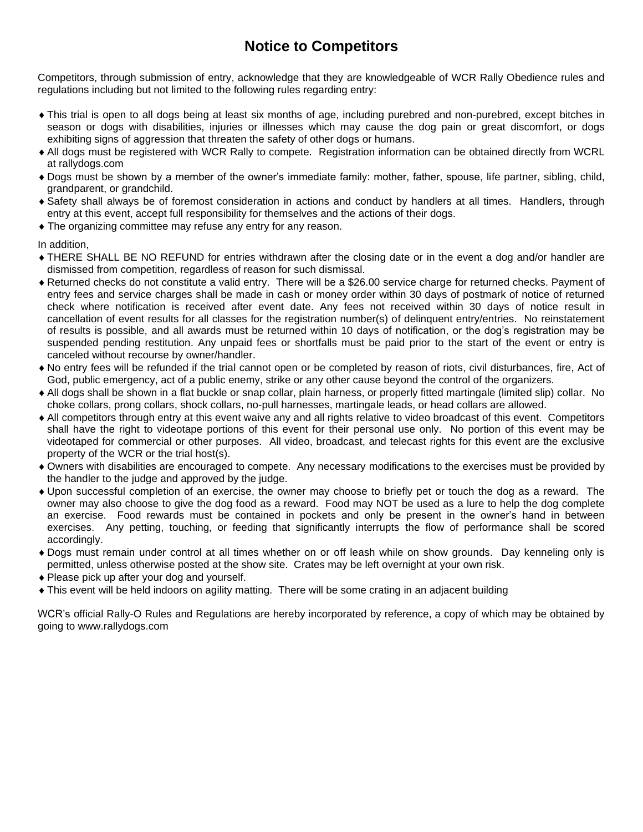# **Notice to Competitors**

Competitors, through submission of entry, acknowledge that they are knowledgeable of WCR Rally Obedience rules and regulations including but not limited to the following rules regarding entry:

- This trial is open to all dogs being at least six months of age, including purebred and non-purebred, except bitches in season or dogs with disabilities, injuries or illnesses which may cause the dog pain or great discomfort, or dogs exhibiting signs of aggression that threaten the safety of other dogs or humans.
- All dogs must be registered with WCR Rally to compete. Registration information can be obtained directly from WCRL at rallydogs.com
- Dogs must be shown by a member of the owner's immediate family: mother, father, spouse, life partner, sibling, child, grandparent, or grandchild.
- Safety shall always be of foremost consideration in actions and conduct by handlers at all times. Handlers, through entry at this event, accept full responsibility for themselves and the actions of their dogs.
- The organizing committee may refuse any entry for any reason.

In addition,

- THERE SHALL BE NO REFUND for entries withdrawn after the closing date or in the event a dog and/or handler are dismissed from competition, regardless of reason for such dismissal.
- Returned checks do not constitute a valid entry. There will be a \$26.00 service charge for returned checks. Payment of entry fees and service charges shall be made in cash or money order within 30 days of postmark of notice of returned check where notification is received after event date. Any fees not received within 30 days of notice result in cancellation of event results for all classes for the registration number(s) of delinquent entry/entries. No reinstatement of results is possible, and all awards must be returned within 10 days of notification, or the dog's registration may be suspended pending restitution. Any unpaid fees or shortfalls must be paid prior to the start of the event or entry is canceled without recourse by owner/handler.
- No entry fees will be refunded if the trial cannot open or be completed by reason of riots, civil disturbances, fire, Act of God, public emergency, act of a public enemy, strike or any other cause beyond the control of the organizers.
- All dogs shall be shown in a flat buckle or snap collar, plain harness, or properly fitted martingale (limited slip) collar. No choke collars, prong collars, shock collars, no-pull harnesses, martingale leads, or head collars are allowed.
- All competitors through entry at this event waive any and all rights relative to video broadcast of this event. Competitors shall have the right to videotape portions of this event for their personal use only. No portion of this event may be videotaped for commercial or other purposes. All video, broadcast, and telecast rights for this event are the exclusive property of the WCR or the trial host(s).
- Owners with disabilities are encouraged to compete. Any necessary modifications to the exercises must be provided by the handler to the judge and approved by the judge.
- Upon successful completion of an exercise, the owner may choose to briefly pet or touch the dog as a reward. The owner may also choose to give the dog food as a reward. Food may NOT be used as a lure to help the dog complete an exercise. Food rewards must be contained in pockets and only be present in the owner's hand in between exercises. Any petting, touching, or feeding that significantly interrupts the flow of performance shall be scored accordingly.
- Dogs must remain under control at all times whether on or off leash while on show grounds. Day kenneling only is permitted, unless otherwise posted at the show site. Crates may be left overnight at your own risk.
- ◆ Please pick up after your dog and yourself.
- This event will be held indoors on agility matting. There will be some crating in an adjacent building

WCR's official Rally-O Rules and Regulations are hereby incorporated by reference, a copy of which may be obtained by going to www.rallydogs.com